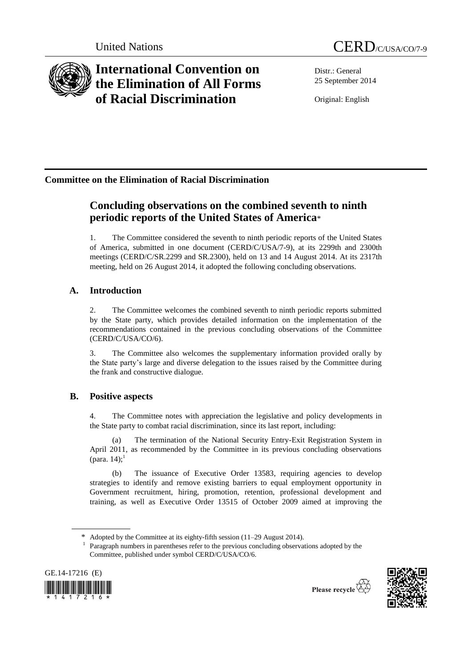

# **International Convention on the Elimination of All Forms of Racial Discrimination**

Distr.: General 25 September 2014

Original: English

# **Committee on the Elimination of Racial Discrimination**

# **Concluding observations on the combined seventh to ninth periodic reports of the United States of America**\*

1. The Committee considered the seventh to ninth periodic reports of the United States of America, submitted in one document (CERD/C/USA/7-9), at its 2299th and 2300th meetings (CERD/C/SR.2299 and SR.2300), held on 13 and 14 August 2014. At its 2317th meeting, held on 26 August 2014, it adopted the following concluding observations.

## **A. Introduction**

2. The Committee welcomes the combined seventh to ninth periodic reports submitted by the State party, which provides detailed information on the implementation of the recommendations contained in the previous concluding observations of the Committee (CERD/C/USA/CO/6).

3. The Committee also welcomes the supplementary information provided orally by the State party's large and diverse delegation to the issues raised by the Committee during the frank and constructive dialogue.

## **B. Positive aspects**

4. The Committee notes with appreciation the legislative and policy developments in the State party to combat racial discrimination, since its last report, including:

The termination of the National Security Entry-Exit Registration System in April 2011, as recommended by the Committee in its previous concluding observations (para. 14); $^{1}$ 

(b) The issuance of Executive Order 13583, requiring agencies to develop strategies to identify and remove existing barriers to equal employment opportunity in Government recruitment, hiring, promotion, retention, professional development and training, as well as Executive Order 13515 of October 2009 aimed at improving the

<sup>&</sup>lt;sup>1</sup> Paragraph numbers in parentheses refer to the previous concluding observations adopted by the Committee, published under symbol CERD/C/USA/CO/6.







<sup>\*</sup> Adopted by the Committee at its eighty-fifth session (11–29 August 2014).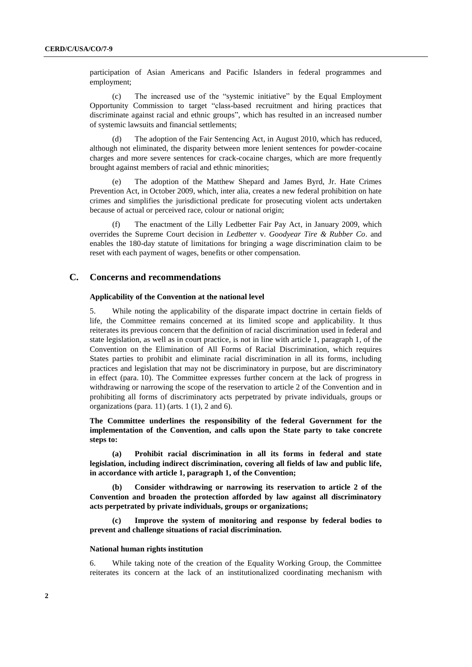participation of Asian Americans and Pacific Islanders in federal programmes and employment;

(c) The increased use of the "systemic initiative" by the Equal Employment Opportunity Commission to target "class-based recruitment and hiring practices that discriminate against racial and ethnic groups", which has resulted in an increased number of systemic lawsuits and financial settlements;

(d) The adoption of the Fair Sentencing Act, in August 2010, which has reduced, although not eliminated, the disparity between more lenient sentences for powder-cocaine charges and more severe sentences for crack-cocaine charges, which are more frequently brought against members of racial and ethnic minorities;

(e) The adoption of the Matthew Shepard and James Byrd, Jr. Hate Crimes Prevention Act, in October 2009, which, inter alia, creates a new federal prohibition on hate crimes and simplifies the jurisdictional predicate for prosecuting violent acts undertaken because of actual or perceived race, colour or national origin;

(f) The enactment of the Lilly Ledbetter Fair Pay Act, in January 2009, which overrides the Supreme Court decision in *Ledbetter* v. *Goodyear Tire & Rubber Co*. and enables the 180-day statute of limitations for bringing a wage discrimination claim to be reset with each payment of wages, benefits or other compensation.

## **C. Concerns and recommendations**

## **Applicability of the Convention at the national level**

5. While noting the applicability of the disparate impact doctrine in certain fields of life, the Committee remains concerned at its limited scope and applicability. It thus reiterates its previous concern that the definition of racial discrimination used in federal and state legislation, as well as in court practice, is not in line with article 1, paragraph 1, of the Convention on the Elimination of All Forms of Racial Discrimination, which requires States parties to prohibit and eliminate racial discrimination in all its forms, including practices and legislation that may not be discriminatory in purpose, but are discriminatory in effect (para. 10). The Committee expresses further concern at the lack of progress in withdrawing or narrowing the scope of the reservation to article 2 of the Convention and in prohibiting all forms of discriminatory acts perpetrated by private individuals, groups or organizations (para. 11) (arts.  $1(1)$ ,  $2$  and  $6$ ).

**The Committee underlines the responsibility of the federal Government for the implementation of the Convention, and calls upon the State party to take concrete steps to:** 

**(a) Prohibit racial discrimination in all its forms in federal and state legislation, including indirect discrimination, covering all fields of law and public life, in accordance with article 1, paragraph 1, of the Convention;** 

**(b) Consider withdrawing or narrowing its reservation to article 2 of the Convention and broaden the protection afforded by law against all discriminatory acts perpetrated by private individuals, groups or organizations;** 

**(c) Improve the system of monitoring and response by federal bodies to prevent and challenge situations of racial discrimination.** 

### **National human rights institution**

6. While taking note of the creation of the Equality Working Group, the Committee reiterates its concern at the lack of an institutionalized coordinating mechanism with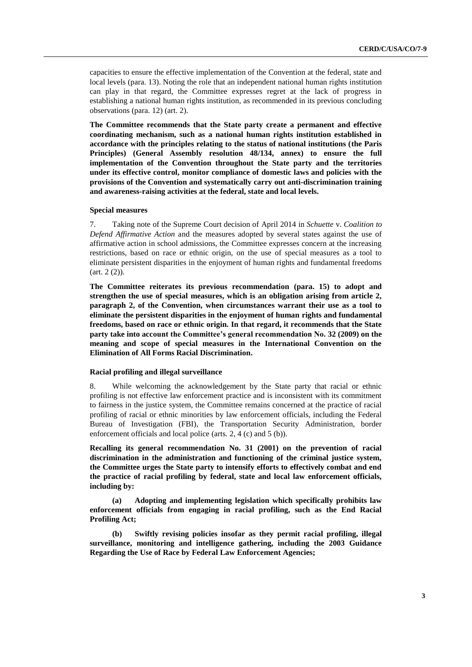capacities to ensure the effective implementation of the Convention at the federal, state and local levels (para. 13). Noting the role that an independent national human rights institution can play in that regard, the Committee expresses regret at the lack of progress in establishing a national human rights institution, as recommended in its previous concluding observations (para. 12) (art. 2).

**The Committee recommends that the State party create a permanent and effective coordinating mechanism, such as a national human rights institution established in accordance with the principles relating to the status of national institutions (the Paris Principles) (General Assembly resolution 48/134, annex) to ensure the full implementation of the Convention throughout the State party and the territories under its effective control, monitor compliance of domestic laws and policies with the provisions of the Convention and systematically carry out anti-discrimination training and awareness-raising activities at the federal, state and local levels.** 

#### **Special measures**

7. Taking note of the Supreme Court decision of April 2014 in *Schuette* v. *Coalition to Defend Affirmative Action* and the measures adopted by several states against the use of affirmative action in school admissions, the Committee expresses concern at the increasing restrictions, based on race or ethnic origin, on the use of special measures as a tool to eliminate persistent disparities in the enjoyment of human rights and fundamental freedoms (art. 2 (2)).

**The Committee reiterates its previous recommendation (para. 15) to adopt and strengthen the use of special measures, which is an obligation arising from article 2, paragraph 2, of the Convention, when circumstances warrant their use as a tool to eliminate the persistent disparities in the enjoyment of human rights and fundamental freedoms, based on race or ethnic origin. In that regard, it recommends that the State party take into account the Committee's general recommendation No. 32 (2009) on the meaning and scope of special measures in the International Convention on the Elimination of All Forms Racial Discrimination.**

## **Racial profiling and illegal surveillance**

8. While welcoming the acknowledgement by the State party that racial or ethnic profiling is not effective law enforcement practice and is inconsistent with its commitment to fairness in the justice system, the Committee remains concerned at the practice of racial profiling of racial or ethnic minorities by law enforcement officials, including the Federal Bureau of Investigation (FBI), the Transportation Security Administration, border enforcement officials and local police (arts. 2, 4 (c) and 5 (b)).

**Recalling its general recommendation No. 31 (2001) on the prevention of racial discrimination in the administration and functioning of the criminal justice system, the Committee urges the State party to intensify efforts to effectively combat and end the practice of racial profiling by federal, state and local law enforcement officials, including by:** 

**(a) Adopting and implementing legislation which specifically prohibits law enforcement officials from engaging in racial profiling, such as the End Racial Profiling Act;** 

**(b) Swiftly revising policies insofar as they permit racial profiling, illegal surveillance, monitoring and intelligence gathering, including the 2003 Guidance Regarding the Use of Race by Federal Law Enforcement Agencies;**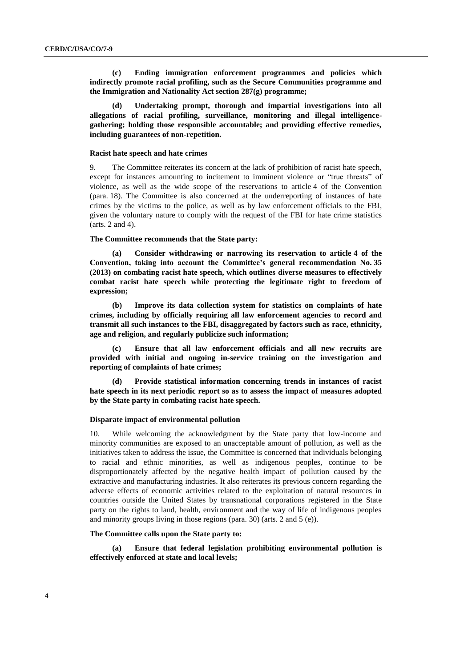**(c) Ending immigration enforcement programmes and policies which indirectly promote racial profiling, such as the Secure Communities programme and the Immigration and Nationality Act section 287(g) programme;** 

**(d) Undertaking prompt, thorough and impartial investigations into all allegations of racial profiling, surveillance, monitoring and illegal intelligencegathering; holding those responsible accountable; and providing effective remedies, including guarantees of non-repetition.** 

#### **Racist hate speech and hate crimes**

9. The Committee reiterates its concern at the lack of prohibition of racist hate speech, except for instances amounting to incitement to imminent violence or "true threats" of violence, as well as the wide scope of the reservations to article 4 of the Convention (para. 18). The Committee is also concerned at the underreporting of instances of hate crimes by the victims to the police, as well as by law enforcement officials to the FBI, given the voluntary nature to comply with the request of the FBI for hate crime statistics (arts. 2 and 4).

#### **The Committee recommends that the State party:**

**(a) Consider withdrawing or narrowing its reservation to article 4 of the Convention, taking into account the Committee's general recommendation No. 35 (2013) on combating racist hate speech, which outlines diverse measures to effectively combat racist hate speech while protecting the legitimate right to freedom of expression;** 

**(b) Improve its data collection system for statistics on complaints of hate crimes, including by officially requiring all law enforcement agencies to record and transmit all such instances to the FBI, disaggregated by factors such as race, ethnicity, age and religion, and regularly publicize such information;** 

**(c) Ensure that all law enforcement officials and all new recruits are provided with initial and ongoing in-service training on the investigation and reporting of complaints of hate crimes;** 

**(d) Provide statistical information concerning trends in instances of racist hate speech in its next periodic report so as to assess the impact of measures adopted by the State party in combating racist hate speech.** 

#### **Disparate impact of environmental pollution**

10. While welcoming the acknowledgment by the State party that low-income and minority communities are exposed to an unacceptable amount of pollution, as well as the initiatives taken to address the issue, the Committee is concerned that individuals belonging to racial and ethnic minorities, as well as indigenous peoples, continue to be disproportionately affected by the negative health impact of pollution caused by the extractive and manufacturing industries. It also reiterates its previous concern regarding the adverse effects of economic activities related to the exploitation of natural resources in countries outside the United States by transnational corporations registered in the State party on the rights to land, health, environment and the way of life of indigenous peoples and minority groups living in those regions (para. 30) (arts. 2 and 5 (e)).

## **The Committee calls upon the State party to:**

**(a) Ensure that federal legislation prohibiting environmental pollution is effectively enforced at state and local levels;**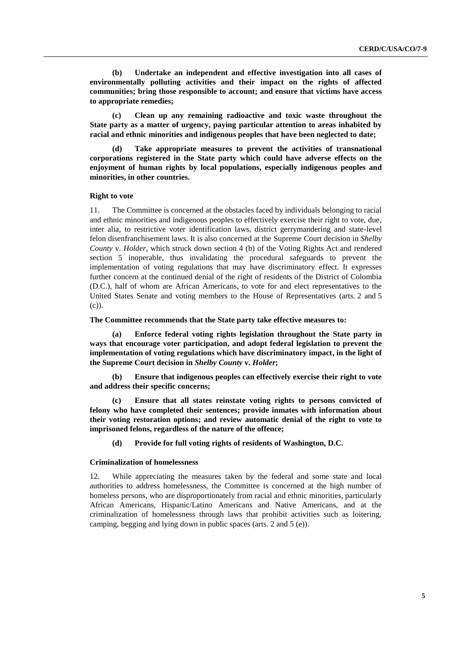**(b) Undertake an independent and effective investigation into all cases of environmentally polluting activities and their impact on the rights of affected communities; bring those responsible to account; and ensure that victims have access to appropriate remedies;** 

**(c) Clean up any remaining radioactive and toxic waste throughout the State party as a matter of urgency, paying particular attention to areas inhabited by racial and ethnic minorities and indigenous peoples that have been neglected to date;** 

**(d) Take appropriate measures to prevent the activities of transnational corporations registered in the State party which could have adverse effects on the enjoyment of human rights by local populations, especially indigenous peoples and minorities, in other countries.** 

#### **Right to vote**

11. The Committee is concerned at the obstacles faced by individuals belonging to racial and ethnic minorities and indigenous peoples to effectively exercise their right to vote, due, inter alia, to restrictive voter identification laws, district gerrymandering and state-level felon disenfranchisement laws. It is also concerned at the Supreme Court decision in *Shelby County* v. *Holder*, which struck down section 4 (b) of the Voting Rights Act and rendered section 5 inoperable, thus invalidating the procedural safeguards to prevent the implementation of voting regulations that may have discriminatory effect. It expresses further concern at the continued denial of the right of residents of the District of Colombia (D.C.), half of whom are African Americans, to vote for and elect representatives to the United States Senate and voting members to the House of Representatives (arts. 2 and 5 (c)).

**The Committee recommends that the State party take effective measures to:** 

**(a) Enforce federal voting rights legislation throughout the State party in ways that encourage voter participation, and adopt federal legislation to prevent the implementation of voting regulations which have discriminatory impact, in the light of the Supreme Court decision in** *Shelby County* **v.** *Holder***;**

**(b) Ensure that indigenous peoples can effectively exercise their right to vote and address their specific concerns;** 

**(c) Ensure that all states reinstate voting rights to persons convicted of felony who have completed their sentences; provide inmates with information about their voting restoration options; and review automatic denial of the right to vote to imprisoned felons, regardless of the nature of the offence;** 

**(d) Provide for full voting rights of residents of Washington, D.C.** 

## **Criminalization of homelessness**

12. While appreciating the measures taken by the federal and some state and local authorities to address homelessness, the Committee is concerned at the high number of homeless persons, who are disproportionately from racial and ethnic minorities, particularly African Americans, Hispanic/Latino Americans and Native Americans, and at the criminalization of homelessness through laws that prohibit activities such as loitering, camping, begging and lying down in public spaces (arts. 2 and 5 (e)).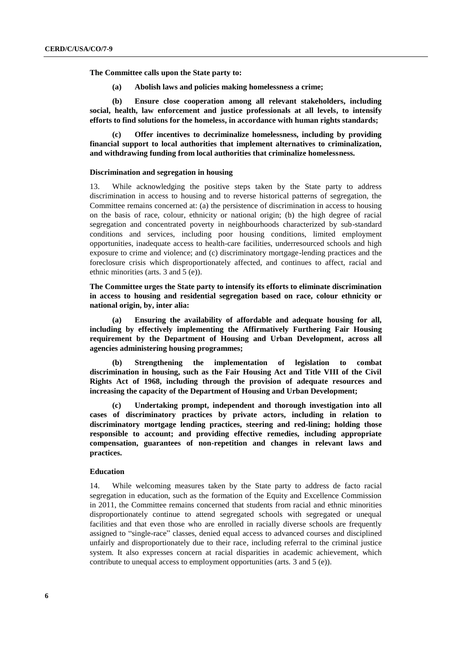**The Committee calls upon the State party to:** 

**(a) Abolish laws and policies making homelessness a crime;**

**(b) Ensure close cooperation among all relevant stakeholders, including social, health, law enforcement and justice professionals at all levels, to intensify efforts to find solutions for the homeless, in accordance with human rights standards;** 

**(c) Offer incentives to decriminalize homelessness, including by providing financial support to local authorities that implement alternatives to criminalization, and withdrawing funding from local authorities that criminalize homelessness.** 

## **Discrimination and segregation in housing**

13. While acknowledging the positive steps taken by the State party to address discrimination in access to housing and to reverse historical patterns of segregation, the Committee remains concerned at: (a) the persistence of discrimination in access to housing on the basis of race, colour, ethnicity or national origin; (b) the high degree of racial segregation and concentrated poverty in neighbourhoods characterized by sub-standard conditions and services, including poor housing conditions, limited employment opportunities, inadequate access to health-care facilities, underresourced schools and high exposure to crime and violence; and (c) discriminatory mortgage-lending practices and the foreclosure crisis which disproportionately affected, and continues to affect, racial and ethnic minorities (arts. 3 and 5 (e)).

**The Committee urges the State party to intensify its efforts to eliminate discrimination in access to housing and residential segregation based on race, colour ethnicity or national origin, by, inter alia:** 

**(a) Ensuring the availability of affordable and adequate housing for all, including by effectively implementing the Affirmatively Furthering Fair Housing requirement by the Department of Housing and Urban Development, across all agencies administering housing programmes;** 

**(b) Strengthening the implementation of legislation to combat discrimination in housing, such as the Fair Housing Act and Title VIII of the Civil Rights Act of 1968, including through the provision of adequate resources and increasing the capacity of the Department of Housing and Urban Development;** 

**(c) Undertaking prompt, independent and thorough investigation into all cases of discriminatory practices by private actors, including in relation to discriminatory mortgage lending practices, steering and red-lining; holding those responsible to account; and providing effective remedies, including appropriate compensation, guarantees of non-repetition and changes in relevant laws and practices.**

## **Education**

14. While welcoming measures taken by the State party to address de facto racial segregation in education, such as the formation of the Equity and Excellence Commission in 2011, the Committee remains concerned that students from racial and ethnic minorities disproportionately continue to attend segregated schools with segregated or unequal facilities and that even those who are enrolled in racially diverse schools are frequently assigned to "single-race" classes, denied equal access to advanced courses and disciplined unfairly and disproportionately due to their race, including referral to the criminal justice system. It also expresses concern at racial disparities in academic achievement, which contribute to unequal access to employment opportunities (arts. 3 and 5 (e)).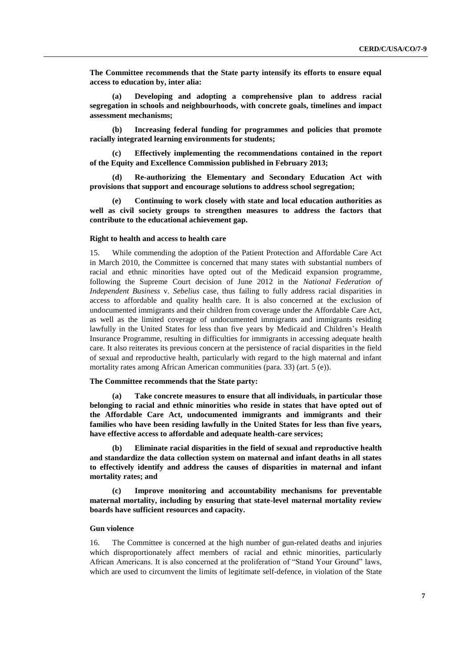**The Committee recommends that the State party intensify its efforts to ensure equal access to education by, inter alia:** 

**(a) Developing and adopting a comprehensive plan to address racial segregation in schools and neighbourhoods, with concrete goals, timelines and impact assessment mechanisms;**

**(b) Increasing federal funding for programmes and policies that promote racially integrated learning environments for students;** 

**(c) Effectively implementing the recommendations contained in the report of the Equity and Excellence Commission published in February 2013;** 

**(d) Re-authorizing the Elementary and Secondary Education Act with provisions that support and encourage solutions to address school segregation;** 

**(e) Continuing to work closely with state and local education authorities as well as civil society groups to strengthen measures to address the factors that contribute to the educational achievement gap.** 

## **Right to health and access to health care**

15. While commending the adoption of the Patient Protection and Affordable Care Act in March 2010, the Committee is concerned that many states with substantial numbers of racial and ethnic minorities have opted out of the Medicaid expansion programme, following the Supreme Court decision of June 2012 in the *National Federation of Independent Business* v. *Sebelius* case, thus failing to fully address racial disparities in access to affordable and quality health care. It is also concerned at the exclusion of undocumented immigrants and their children from coverage under the Affordable Care Act, as well as the limited coverage of undocumented immigrants and immigrants residing lawfully in the United States for less than five years by Medicaid and Children's Health Insurance Programme, resulting in difficulties for immigrants in accessing adequate health care. It also reiterates its previous concern at the persistence of racial disparities in the field of sexual and reproductive health, particularly with regard to the high maternal and infant mortality rates among African American communities (para. 33) (art. 5 (e)).

#### **The Committee recommends that the State party:**

**(a) Take concrete measures to ensure that all individuals, in particular those belonging to racial and ethnic minorities who reside in states that have opted out of the Affordable Care Act, undocumented immigrants and immigrants and their families who have been residing lawfully in the United States for less than five years, have effective access to affordable and adequate health-care services;** 

**(b) Eliminate racial disparities in the field of sexual and reproductive health and standardize the data collection system on maternal and infant deaths in all states to effectively identify and address the causes of disparities in maternal and infant mortality rates; and**

**(c) Improve monitoring and accountability mechanisms for preventable maternal mortality, including by ensuring that state-level maternal mortality review boards have sufficient resources and capacity.** 

#### **Gun violence**

16. The Committee is concerned at the high number of gun-related deaths and injuries which disproportionately affect members of racial and ethnic minorities, particularly African Americans. It is also concerned at the proliferation of "Stand Your Ground" laws, which are used to circumvent the limits of legitimate self-defence, in violation of the State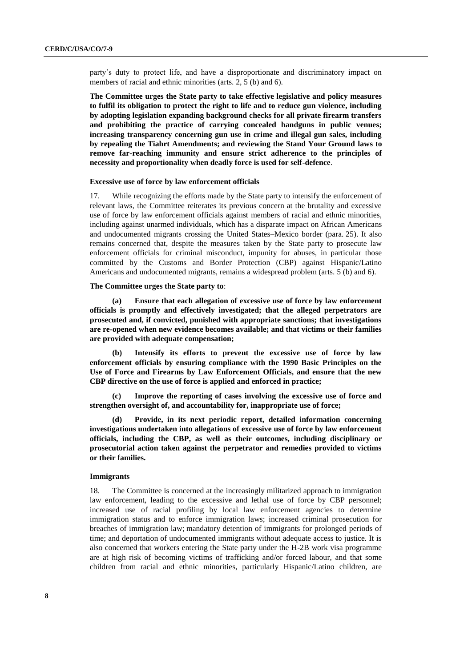party's duty to protect life, and have a disproportionate and discriminatory impact on members of racial and ethnic minorities (arts. 2, 5 (b) and 6).

**The Committee urges the State party to take effective legislative and policy measures to fulfil its obligation to protect the right to life and to reduce gun violence, including by adopting legislation expanding background checks for all private firearm transfers and prohibiting the practice of carrying concealed handguns in public venues; increasing transparency concerning gun use in crime and illegal gun sales, including by repealing the Tiahrt Amendments; and reviewing the Stand Your Ground laws to remove far-reaching immunity and ensure strict adherence to the principles of necessity and proportionality when deadly force is used for self-defence**.

#### **Excessive use of force by law enforcement officials**

17. While recognizing the efforts made by the State party to intensify the enforcement of relevant laws, the Committee reiterates its previous concern at the brutality and excessive use of force by law enforcement officials against members of racial and ethnic minorities, including against unarmed individuals, which has a disparate impact on African Americans and undocumented migrants crossing the United States–Mexico border (para. 25). It also remains concerned that, despite the measures taken by the State party to prosecute law enforcement officials for criminal misconduct, impunity for abuses, in particular those committed by the Customs and Border Protection (CBP) against Hispanic/Latino Americans and undocumented migrants, remains a widespread problem (arts. 5 (b) and 6).

#### **The Committee urges the State party to**:

**(a) Ensure that each allegation of excessive use of force by law enforcement officials is promptly and effectively investigated; that the alleged perpetrators are prosecuted and, if convicted, punished with appropriate sanctions; that investigations are re-opened when new evidence becomes available; and that victims or their families are provided with adequate compensation;** 

**(b) Intensify its efforts to prevent the excessive use of force by law enforcement officials by ensuring compliance with the 1990 Basic Principles on the Use of Force and Firearms by Law Enforcement Officials, and ensure that the new CBP directive on the use of force is applied and enforced in practice;**

**(c) Improve the reporting of cases involving the excessive use of force and strengthen oversight of, and accountability for, inappropriate use of force;** 

**(d) Provide, in its next periodic report, detailed information concerning investigations undertaken into allegations of excessive use of force by law enforcement officials, including the CBP, as well as their outcomes, including disciplinary or prosecutorial action taken against the perpetrator and remedies provided to victims or their families.** 

#### **Immigrants**

18. The Committee is concerned at the increasingly militarized approach to immigration law enforcement, leading to the excessive and lethal use of force by CBP personnel; increased use of racial profiling by local law enforcement agencies to determine immigration status and to enforce immigration laws; increased criminal prosecution for breaches of immigration law; mandatory detention of immigrants for prolonged periods of time; and deportation of undocumented immigrants without adequate access to justice. It is also concerned that workers entering the State party under the H-2B work visa programme are at high risk of becoming victims of trafficking and/or forced labour, and that some children from racial and ethnic minorities, particularly Hispanic/Latino children, are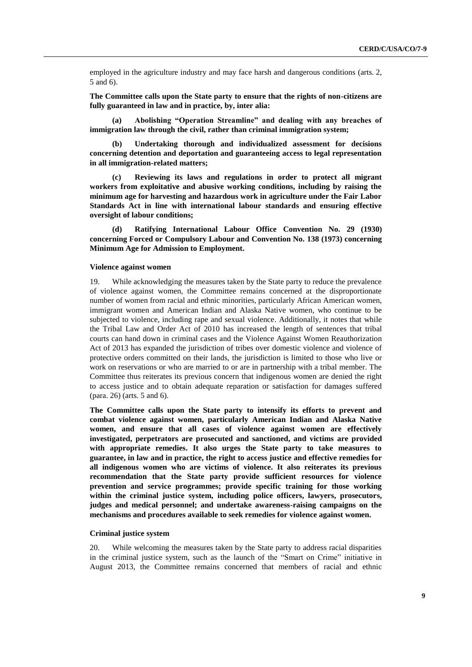employed in the agriculture industry and may face harsh and dangerous conditions (arts. 2, 5 and 6).

**The Committee calls upon the State party to ensure that the rights of non-citizens are fully guaranteed in law and in practice, by, inter alia:** 

**(a) Abolishing "Operation Streamline" and dealing with any breaches of immigration law through the civil, rather than criminal immigration system;**

**(b) Undertaking thorough and individualized assessment for decisions concerning detention and deportation and guaranteeing access to legal representation in all immigration-related matters;** 

**(c) Reviewing its laws and regulations in order to protect all migrant workers from exploitative and abusive working conditions, including by raising the minimum age for harvesting and hazardous work in agriculture under the Fair Labor Standards Act in line with international labour standards and ensuring effective oversight of labour conditions;** 

**(d) Ratifying International Labour Office Convention No. 29 (1930) concerning Forced or Compulsory Labour and Convention No. 138 (1973) concerning Minimum Age for Admission to Employment.** 

#### **Violence against women**

19. While acknowledging the measures taken by the State party to reduce the prevalence of violence against women, the Committee remains concerned at the disproportionate number of women from racial and ethnic minorities, particularly African American women, immigrant women and American Indian and Alaska Native women, who continue to be subjected to violence, including rape and sexual violence. Additionally, it notes that while the Tribal Law and Order Act of 2010 has increased the length of sentences that tribal courts can hand down in criminal cases and the Violence Against Women Reauthorization Act of 2013 has expanded the jurisdiction of tribes over domestic violence and violence of protective orders committed on their lands, the jurisdiction is limited to those who live or work on reservations or who are married to or are in partnership with a tribal member. The Committee thus reiterates its previous concern that indigenous women are denied the right to access justice and to obtain adequate reparation or satisfaction for damages suffered (para. 26) (arts. 5 and 6).

**The Committee calls upon the State party to intensify its efforts to prevent and combat violence against women, particularly American Indian and Alaska Native women, and ensure that all cases of violence against women are effectively investigated, perpetrators are prosecuted and sanctioned, and victims are provided with appropriate remedies. It also urges the State party to take measures to guarantee, in law and in practice, the right to access justice and effective remedies for all indigenous women who are victims of violence. It also reiterates its previous recommendation that the State party provide sufficient resources for violence prevention and service programmes; provide specific training for those working within the criminal justice system, including police officers, lawyers, prosecutors, judges and medical personnel; and undertake awareness-raising campaigns on the mechanisms and procedures available to seek remedies for violence against women.**

#### **Criminal justice system**

20. While welcoming the measures taken by the State party to address racial disparities in the criminal justice system, such as the launch of the "Smart on Crime" initiative in August 2013, the Committee remains concerned that members of racial and ethnic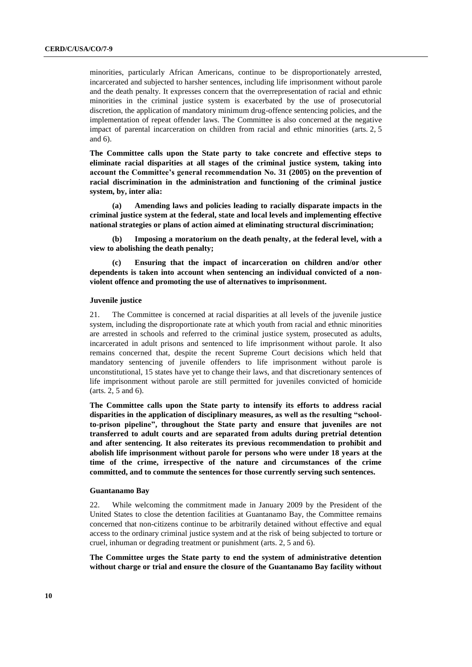minorities, particularly African Americans, continue to be disproportionately arrested, incarcerated and subjected to harsher sentences, including life imprisonment without parole and the death penalty. It expresses concern that the overrepresentation of racial and ethnic minorities in the criminal justice system is exacerbated by the use of prosecutorial discretion, the application of mandatory minimum drug-offence sentencing policies, and the implementation of repeat offender laws. The Committee is also concerned at the negative impact of parental incarceration on children from racial and ethnic minorities (arts. 2, 5 and 6).

**The Committee calls upon the State party to take concrete and effective steps to eliminate racial disparities at all stages of the criminal justice system, taking into account the Committee's general recommendation No. 31 (2005) on the prevention of racial discrimination in the administration and functioning of the criminal justice system, by, inter alia:** 

**(a) Amending laws and policies leading to racially disparate impacts in the criminal justice system at the federal, state and local levels and implementing effective national strategies or plans of action aimed at eliminating structural discrimination;**

**(b) Imposing a moratorium on the death penalty, at the federal level, with a view to abolishing the death penalty;** 

**(c) Ensuring that the impact of incarceration on children and/or other dependents is taken into account when sentencing an individual convicted of a nonviolent offence and promoting the use of alternatives to imprisonment.** 

#### **Juvenile justice**

21. The Committee is concerned at racial disparities at all levels of the juvenile justice system, including the disproportionate rate at which youth from racial and ethnic minorities are arrested in schools and referred to the criminal justice system, prosecuted as adults, incarcerated in adult prisons and sentenced to life imprisonment without parole. It also remains concerned that, despite the recent Supreme Court decisions which held that mandatory sentencing of juvenile offenders to life imprisonment without parole is unconstitutional, 15 states have yet to change their laws, and that discretionary sentences of life imprisonment without parole are still permitted for juveniles convicted of homicide (arts. 2, 5 and 6).

**The Committee calls upon the State party to intensify its efforts to address racial disparities in the application of disciplinary measures, as well as the resulting "schoolto-prison pipeline", throughout the State party and ensure that juveniles are not transferred to adult courts and are separated from adults during pretrial detention and after sentencing. It also reiterates its previous recommendation to prohibit and abolish life imprisonment without parole for persons who were under 18 years at the time of the crime, irrespective of the nature and circumstances of the crime committed, and to commute the sentences for those currently serving such sentences.** 

#### **Guantanamo Bay**

22. While welcoming the commitment made in January 2009 by the President of the United States to close the detention facilities at Guantanamo Bay, the Committee remains concerned that non-citizens continue to be arbitrarily detained without effective and equal access to the ordinary criminal justice system and at the risk of being subjected to torture or cruel, inhuman or degrading treatment or punishment (arts. 2, 5 and 6).

**The Committee urges the State party to end the system of administrative detention without charge or trial and ensure the closure of the Guantanamo Bay facility without**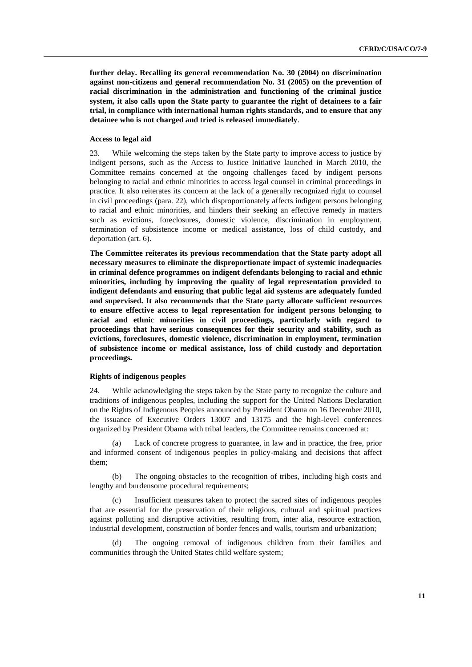**further delay. Recalling its general recommendation No. 30 (2004) on discrimination against non-citizens and general recommendation No. 31 (2005) on the prevention of racial discrimination in the administration and functioning of the criminal justice system, it also calls upon the State party to guarantee the right of detainees to a fair trial, in compliance with international human rights standards, and to ensure that any detainee who is not charged and tried is released immediately**.

#### **Access to legal aid**

23. While welcoming the steps taken by the State party to improve access to justice by indigent persons, such as the Access to Justice Initiative launched in March 2010, the Committee remains concerned at the ongoing challenges faced by indigent persons belonging to racial and ethnic minorities to access legal counsel in criminal proceedings in practice. It also reiterates its concern at the lack of a generally recognized right to counsel in civil proceedings (para. 22), which disproportionately affects indigent persons belonging to racial and ethnic minorities, and hinders their seeking an effective remedy in matters such as evictions, foreclosures, domestic violence, discrimination in employment, termination of subsistence income or medical assistance, loss of child custody, and deportation (art. 6).

**The Committee reiterates its previous recommendation that the State party adopt all necessary measures to eliminate the disproportionate impact of systemic inadequacies in criminal defence programmes on indigent defendants belonging to racial and ethnic minorities, including by improving the quality of legal representation provided to indigent defendants and ensuring that public legal aid systems are adequately funded and supervised. It also recommends that the State party allocate sufficient resources to ensure effective access to legal representation for indigent persons belonging to racial and ethnic minorities in civil proceedings, particularly with regard to proceedings that have serious consequences for their security and stability, such as evictions, foreclosures, domestic violence, discrimination in employment, termination of subsistence income or medical assistance, loss of child custody and deportation proceedings.**

## **Rights of indigenous peoples**

24. While acknowledging the steps taken by the State party to recognize the culture and traditions of indigenous peoples, including the support for the United Nations Declaration on the Rights of Indigenous Peoples announced by President Obama on 16 December 2010, the issuance of Executive Orders 13007 and 13175 and the high-level conferences organized by President Obama with tribal leaders, the Committee remains concerned at:

Lack of concrete progress to guarantee, in law and in practice, the free, prior and informed consent of indigenous peoples in policy-making and decisions that affect them;

(b) The ongoing obstacles to the recognition of tribes, including high costs and lengthy and burdensome procedural requirements;

(c) Insufficient measures taken to protect the sacred sites of indigenous peoples that are essential for the preservation of their religious, cultural and spiritual practices against polluting and disruptive activities, resulting from, inter alia, resource extraction, industrial development, construction of border fences and walls, tourism and urbanization;

(d) The ongoing removal of indigenous children from their families and communities through the United States child welfare system;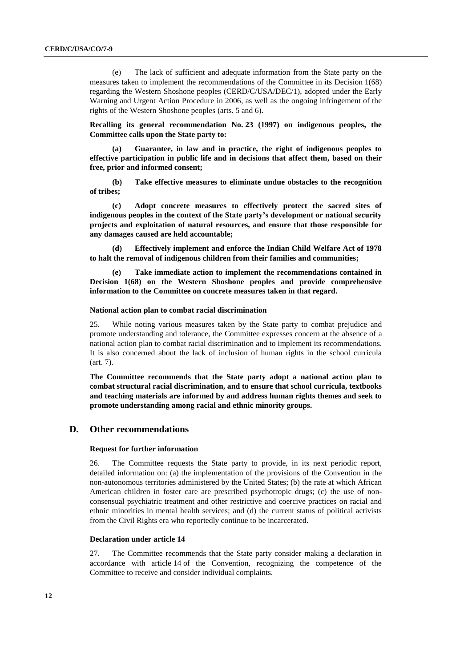(e) The lack of sufficient and adequate information from the State party on the measures taken to implement the recommendations of the Committee in its Decision 1(68) regarding the Western Shoshone peoples (CERD/C/USA/DEC/1), adopted under the Early Warning and Urgent Action Procedure in 2006, as well as the ongoing infringement of the rights of the Western Shoshone peoples (arts. 5 and 6).

**Recalling its general recommendation No. 23 (1997) on indigenous peoples, the Committee calls upon the State party to:** 

**(a) Guarantee, in law and in practice, the right of indigenous peoples to effective participation in public life and in decisions that affect them, based on their free, prior and informed consent;** 

**(b) Take effective measures to eliminate undue obstacles to the recognition of tribes;** 

**(c) Adopt concrete measures to effectively protect the sacred sites of indigenous peoples in the context of the State party's development or national security projects and exploitation of natural resources, and ensure that those responsible for any damages caused are held accountable;**

**(d) Effectively implement and enforce the Indian Child Welfare Act of 1978 to halt the removal of indigenous children from their families and communities;** 

**(e) Take immediate action to implement the recommendations contained in Decision 1(68) on the Western Shoshone peoples and provide comprehensive information to the Committee on concrete measures taken in that regard.** 

## **National action plan to combat racial discrimination**

25. While noting various measures taken by the State party to combat prejudice and promote understanding and tolerance, the Committee expresses concern at the absence of a national action plan to combat racial discrimination and to implement its recommendations. It is also concerned about the lack of inclusion of human rights in the school curricula (art. 7).

**The Committee recommends that the State party adopt a national action plan to combat structural racial discrimination, and to ensure that school curricula, textbooks and teaching materials are informed by and address human rights themes and seek to promote understanding among racial and ethnic minority groups.** 

## **D. Other recommendations**

#### **Request for further information**

26. The Committee requests the State party to provide, in its next periodic report, detailed information on: (a) the implementation of the provisions of the Convention in the non-autonomous territories administered by the United States; (b) the rate at which African American children in foster care are prescribed psychotropic drugs; (c) the use of nonconsensual psychiatric treatment and other restrictive and coercive practices on racial and ethnic minorities in mental health services; and (d) the current status of political activists from the Civil Rights era who reportedly continue to be incarcerated.

## **Declaration under article 14**

27. The Committee recommends that the State party consider making a declaration in accordance with article 14 of the Convention, recognizing the competence of the Committee to receive and consider individual complaints.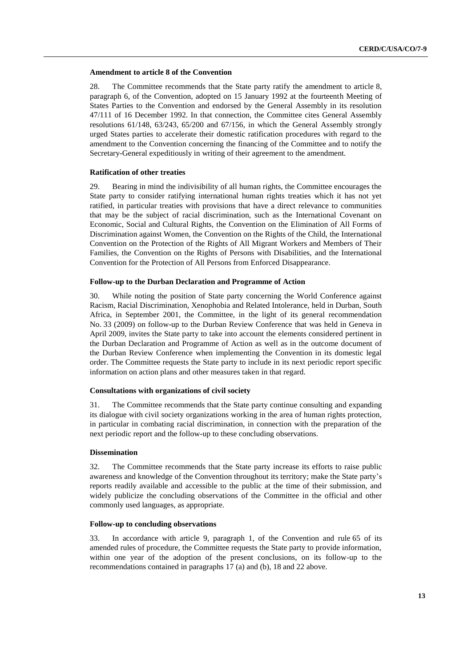#### **Amendment to article 8 of the Convention**

28. The Committee recommends that the State party ratify the amendment to article 8, paragraph 6, of the Convention, adopted on 15 January 1992 at the fourteenth Meeting of States Parties to the Convention and endorsed by the General Assembly in its resolution 47/111 of 16 December 1992. In that connection, the Committee cites General Assembly resolutions 61/148, 63/243, 65/200 and 67/156, in which the General Assembly strongly urged States parties to accelerate their domestic ratification procedures with regard to the amendment to the Convention concerning the financing of the Committee and to notify the Secretary-General expeditiously in writing of their agreement to the amendment.

## **Ratification of other treaties**

29. Bearing in mind the indivisibility of all human rights, the Committee encourages the State party to consider ratifying international human rights treaties which it has not yet ratified, in particular treaties with provisions that have a direct relevance to communities that may be the subject of racial discrimination, such as the International Covenant on Economic, Social and Cultural Rights, the Convention on the Elimination of All Forms of Discrimination against Women, the Convention on the Rights of the Child, the International Convention on the Protection of the Rights of All Migrant Workers and Members of Their Families, the Convention on the Rights of Persons with Disabilities, and the International Convention for the Protection of All Persons from Enforced Disappearance.

## **Follow-up to the Durban Declaration and Programme of Action**

30. While noting the position of State party concerning the World Conference against Racism, Racial Discrimination, Xenophobia and Related Intolerance, held in Durban, South Africa, in September 2001, the Committee, in the light of its general recommendation No. 33 (2009) on follow-up to the Durban Review Conference that was held in Geneva in April 2009, invites the State party to take into account the elements considered pertinent in the Durban Declaration and Programme of Action as well as in the outcome document of the Durban Review Conference when implementing the Convention in its domestic legal order. The Committee requests the State party to include in its next periodic report specific information on action plans and other measures taken in that regard.

#### **Consultations with organizations of civil society**

31. The Committee recommends that the State party continue consulting and expanding its dialogue with civil society organizations working in the area of human rights protection, in particular in combating racial discrimination, in connection with the preparation of the next periodic report and the follow-up to these concluding observations.

#### **Dissemination**

32. The Committee recommends that the State party increase its efforts to raise public awareness and knowledge of the Convention throughout its territory; make the State party's reports readily available and accessible to the public at the time of their submission, and widely publicize the concluding observations of the Committee in the official and other commonly used languages, as appropriate.

#### **Follow-up to concluding observations**

33. In accordance with article 9, paragraph 1, of the Convention and rule 65 of its amended rules of procedure, the Committee requests the State party to provide information, within one year of the adoption of the present conclusions, on its follow-up to the recommendations contained in paragraphs 17 (a) and (b), 18 and 22 above.